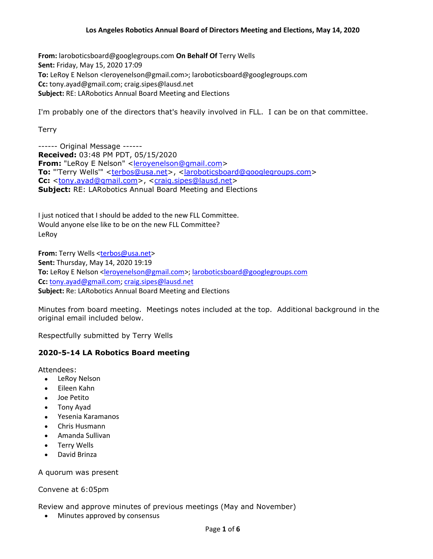**From:** laroboticsboard@googlegroups.com **On Behalf Of** Terry Wells **Sent:** Friday, May 15, 2020 17:09 **To:** LeRoy E Nelson <leroyenelson@gmail.com>; laroboticsboard@googlegroups.com **Cc:** tony.ayad@gmail.com; craig.sipes@lausd.net **Subject:** RE: LARobotics Annual Board Meeting and Elections

I'm probably one of the directors that's heavily involved in FLL. I can be on that committee.

**Terry** 

------ Original Message ------ **Received:** 03:48 PM PDT, 05/15/2020 **From:** "LeRoy E Nelson" <**leroyenelson@gmail.com>** To: "'Terry Wells'" <terbos@usa.net>, <laroboticsboard@googlegroups.com> **Cc:** <tony.ayad@gmail.com>, <craig.sipes@lausd.net> **Subject:** RE: LARobotics Annual Board Meeting and Elections

I just noticed that I should be added to the new FLL Committee. Would anyone else like to be on the new FLL Committee? LeRoy

**From:** Terry Wells <terbos@usa.net> **Sent:** Thursday, May 14, 2020 19:19 **To:** LeRoy E Nelson <leroyenelson@gmail.com>; laroboticsboard@googlegroups.com **Cc:** tony.ayad@gmail.com; craig.sipes@lausd.net **Subject:** Re: LARobotics Annual Board Meeting and Elections

Minutes from board meeting. Meetings notes included at the top. Additional background in the original email included below.

Respectfully submitted by Terry Wells

# **2020-5-14 LA Robotics Board meeting**

Attendees:

- LeRoy Nelson
- Eileen Kahn
- Joe Petito
- Tony Ayad
- Yesenia Karamanos
- Chris Husmann
- Amanda Sullivan
- Terry Wells
- David Brinza

A quorum was present

## Convene at 6:05pm

Review and approve minutes of previous meetings (May and November)

• Minutes approved by consensus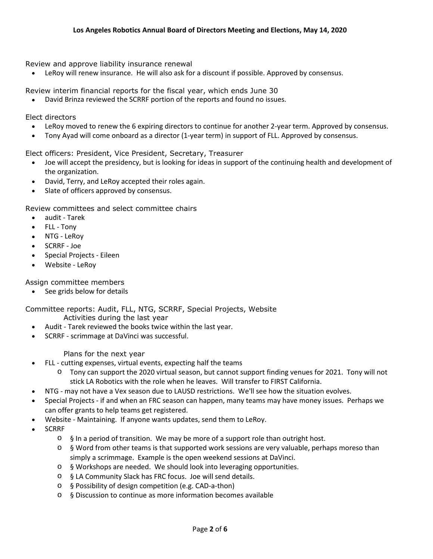Review and approve liability insurance renewal

LeRoy will renew insurance. He will also ask for a discount if possible. Approved by consensus.

Review interim financial reports for the fiscal year, which ends June 30

David Brinza reviewed the SCRRF portion of the reports and found no issues.

Elect directors

- LeRoy moved to renew the 6 expiring directors to continue for another 2-year term. Approved by consensus.
- Tony Ayad will come onboard as a director (1-year term) in support of FLL. Approved by consensus.

Elect officers: President, Vice President, Secretary, Treasurer

- Joe will accept the presidency, but is looking for ideas in support of the continuing health and development of the organization.
- David, Terry, and LeRoy accepted their roles again.
- Slate of officers approved by consensus.

Review committees and select committee chairs

- audit Tarek
- FLL Tony
- NTG LeRoy
- SCRRF Joe
- Special Projects Eileen
- Website LeRoy

Assign committee members

• See grids below for details

Committee reports: Audit, FLL, NTG, SCRRF, Special Projects, Website Activities during the last year

- Audit Tarek reviewed the books twice within the last year.
- SCRRF scrimmage at DaVinci was successful.

Plans for the next year

- FLL cutting expenses, virtual events, expecting half the teams
	- o Tony can support the 2020 virtual season, but cannot support finding venues for 2021. Tony will not stick LA Robotics with the role when he leaves. Will transfer to FIRST California.
- NTG may not have a Vex season due to LAUSD restrictions. We'll see how the situation evolves.
- Special Projects if and when an FRC season can happen, many teams may have money issues. Perhaps we can offer grants to help teams get registered.
- Website Maintaining. If anyone wants updates, send them to LeRoy.
- SCRRF
	- $\circ$  § In a period of transition. We may be more of a support role than outright host.
	- o § Word from other teams is that supported work sessions are very valuable, perhaps moreso than simply a scrimmage. Example is the open weekend sessions at DaVinci.
	- o § Workshops are needed. We should look into leveraging opportunities.
	- o § LA Community Slack has FRC focus. Joe will send details.
	- o § Possibility of design competition (e.g. CAD-a-thon)
	- o § Discussion to continue as more information becomes available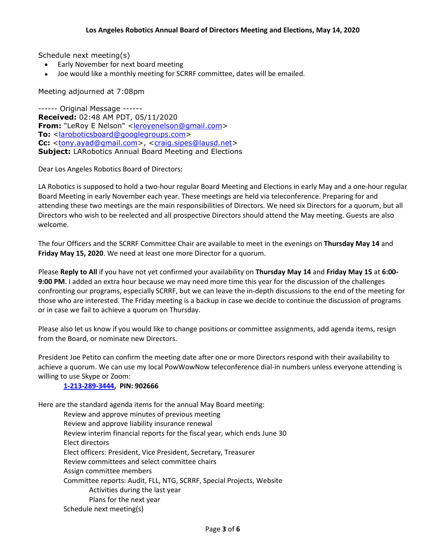Schedule next meeting(s)

- Early November for next board meeting
- Joe would like a monthly meeting for SCRRF committee, dates will be emailed.

Meeting adjourned at 7:08pm

------ Original Message ------ **Received:** 02:48 AM PDT, 05/11/2020 **From:** "LeRoy E Nelson" <leroyenelson@gmail.com> **To:** <laroboticsboard@googlegroups.com> **Cc:** <tony.ayad@gmail.com>, <craig.sipes@lausd.net> **Subject:** LARobotics Annual Board Meeting and Elections

Dear Los Angeles Robotics Board of Directors:

LA Robotics is supposed to hold a two-hour regular Board Meeting and Elections in early May and a one-hour regular Board Meeting in early November each year. These meetings are held via teleconference. Preparing for and attending these two meetings are the main responsibilities of Directors. We need six Directors for a quorum, but all Directors who wish to be reelected and all prospective Directors should attend the May meeting. Guests are also welcome.

The four Officers and the SCRRF Committee Chair are available to meet in the evenings on **Thursday May 14** and **Friday May 15, 2020**. We need at least one more Director for a quorum.

Please **Reply to All** if you have not yet confirmed your availability on **Thursday May 14** and **Friday May 15** at **6:00- 9:00 PM**. I added an extra hour because we may need more time this year for the discussion of the challenges confronting our programs, especially SCRRF, but we can leave the in-depth discussions to the end of the meeting for those who are interested. The Friday meeting is a backup in case we decide to continue the discussion of programs or in case we fail to achieve a quorum on Thursday.

Please also let us know if you would like to change positions or committee assignments, add agenda items, resign from the Board, or nominate new Directors.

President Joe Petito can confirm the meeting date after one or more Directors respond with their availability to achieve a quorum. We can use my local PowWowNow teleconference dial-in numbers unless everyone attending is willing to use Skype or Zoom:

## **1-213-289-3444, PIN: 902666**

Here are the standard agenda items for the annual May Board meeting:

Review and approve minutes of previous meeting Review and approve liability insurance renewal Review interim financial reports for the fiscal year, which ends June 30 Elect directors Elect officers: President, Vice President, Secretary, Treasurer Review committees and select committee chairs Assign committee members Committee reports: Audit, FLL, NTG, SCRRF, Special Projects, Website Activities during the last year Plans for the next year Schedule next meeting(s)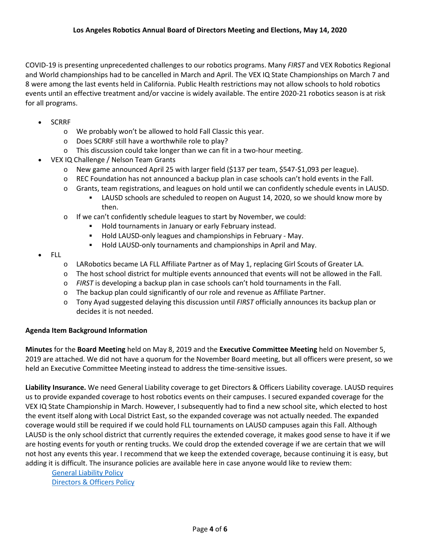COVID-19 is presenting unprecedented challenges to our robotics programs. Many *FIRST* and VEX Robotics Regional and World championships had to be cancelled in March and April. The VEX IQ State Championships on March 7 and 8 were among the last events held in California. Public Health restrictions may not allow schools to hold robotics events until an effective treatment and/or vaccine is widely available. The entire 2020-21 robotics season is at risk for all programs.

- SCRRF
	- o We probably won't be allowed to hold Fall Classic this year.
	- o Does SCRRF still have a worthwhile role to play?
	- o This discussion could take longer than we can fit in a two-hour meeting.
- VEX IQ Challenge / Nelson Team Grants

then.

- o New game announced April 25 with larger field (\$137 per team, \$547-\$1,093 per league).
- o REC Foundation has not announced a backup plan in case schools can't hold events in the Fall.
- o Grants, team registrations, and leagues on hold until we can confidently schedule events in LAUSD. LAUSD schools are scheduled to reopen on August 14, 2020, so we should know more by
- o If we can't confidently schedule leagues to start by November, we could:
	- Hold tournaments in January or early February instead.
	- **Hold LAUSD-only leagues and championships in February May.**
	- **Hold LAUSD-only tournaments and championships in April and May.**
- FLL
	- o LARobotics became LA FLL Affiliate Partner as of May 1, replacing Girl Scouts of Greater LA.
	- o The host school district for multiple events announced that events will not be allowed in the Fall.
	- o *FIRST* is developing a backup plan in case schools can't hold tournaments in the Fall.
	- o The backup plan could significantly of our role and revenue as Affiliate Partner.
	- o Tony Ayad suggested delaying this discussion until *FIRST* officially announces its backup plan or decides it is not needed.

## **Agenda Item Background Information**

**Minutes** for the **Board Meeting** held on May 8, 2019 and the **Executive Committee Meeting** held on November 5, 2019 are attached. We did not have a quorum for the November Board meeting, but all officers were present, so we held an Executive Committee Meeting instead to address the time-sensitive issues.

**Liability Insurance.** We need General Liability coverage to get Directors & Officers Liability coverage. LAUSD requires us to provide expanded coverage to host robotics events on their campuses. I secured expanded coverage for the VEX IQ State Championship in March. However, I subsequently had to find a new school site, which elected to host the event itself along with Local District East, so the expanded coverage was not actually needed. The expanded coverage would still be required if we could hold FLL tournaments on LAUSD campuses again this Fall. Although LAUSD is the only school district that currently requires the extended coverage, it makes good sense to have it if we are hosting events for youth or renting trucks. We could drop the extended coverage if we are certain that we will not host any events this year. I recommend that we keep the extended coverage, because continuing it is easy, but adding it is difficult. The insurance policies are available here in case anyone would like to review them:

General Liability Policy Directors & Officers Policy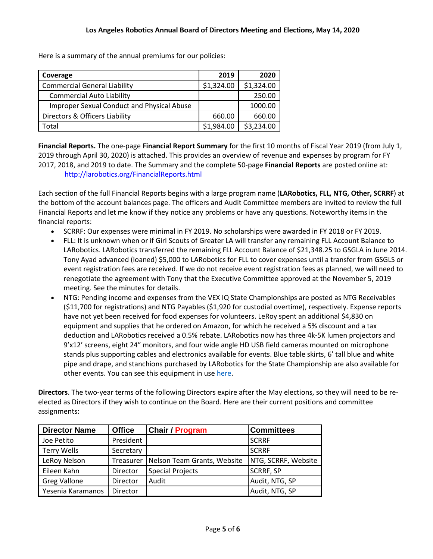| Coverage                                          | 2019       | 2020       |
|---------------------------------------------------|------------|------------|
| <b>Commercial General Liability</b>               | \$1,324.00 | \$1,324.00 |
| <b>Commercial Auto Liability</b>                  |            | 250.00     |
| <b>Improper Sexual Conduct and Physical Abuse</b> |            | 1000.00    |
| Directors & Officers Liability                    | 660.00     | 660.00     |
| Total                                             | \$1,984.00 | \$3,234.00 |

Here is a summary of the annual premiums for our policies:

**Financial Reports.** The one-page **Financial Report Summary** for the first 10 months of Fiscal Year 2019 (from July 1, 2019 through April 30, 2020) is attached. This provides an overview of revenue and expenses by program for FY 2017, 2018, and 2019 to date. The Summary and the complete 50-page **Financial Reports** are posted online at: http://larobotics.org/FinancialReports.html

Each section of the full Financial Reports begins with a large program name (**LARobotics, FLL, NTG, Other, SCRRF**) at the bottom of the account balances page. The officers and Audit Committee members are invited to review the full Financial Reports and let me know if they notice any problems or have any questions. Noteworthy items in the financial reports:

- SCRRF: Our expenses were minimal in FY 2019. No scholarships were awarded in FY 2018 or FY 2019.
- FLL: It is unknown when or if Girl Scouts of Greater LA will transfer any remaining FLL Account Balance to LARobotics. LARobotics transferred the remaining FLL Account Balance of \$21,348.25 to GSGLA in June 2014. Tony Ayad advanced (loaned) \$5,000 to LARobotics for FLL to cover expenses until a transfer from GSGLS or event registration fees are received. If we do not receive event registration fees as planned, we will need to renegotiate the agreement with Tony that the Executive Committee approved at the November 5, 2019 meeting. See the minutes for details.
- NTG: Pending income and expenses from the VEX IQ State Championships are posted as NTG Receivables (\$11,700 for registrations) and NTG Payables (\$1,920 for custodial overtime), respectively. Expense reports have not yet been received for food expenses for volunteers. LeRoy spent an additional \$4,830 on equipment and supplies that he ordered on Amazon, for which he received a 5% discount and a tax deduction and LARobotics received a 0.5% rebate. LARobotics now has three 4k-5K lumen projectors and 9'x12' screens, eight 24" monitors, and four wide angle HD USB field cameras mounted on microphone stands plus supporting cables and electronics available for events. Blue table skirts, 6' tall blue and white pipe and drape, and stanchions purchased by LARobotics for the State Championship are also available for other events. You can see this equipment in use here.

**Directors**. The two-year terms of the following Directors expire after the May elections, so they will need to be reelected as Directors if they wish to continue on the Board. Here are their current positions and committee assignments:

| <b>Director Name</b> | <b>Office</b> | <b>Chair / Program</b>      | <b>Committees</b>   |
|----------------------|---------------|-----------------------------|---------------------|
| Joe Petito           | President     |                             | <b>SCRRF</b>        |
| <b>Terry Wells</b>   | Secretary     |                             | <b>SCRRF</b>        |
| LeRoy Nelson         | Treasurer     | Nelson Team Grants, Website | NTG, SCRRF, Website |
| Eileen Kahn          | Director      | <b>Special Projects</b>     | <b>SCRRF, SP</b>    |
| <b>Greg Vallone</b>  | Director      | Audit                       | Audit, NTG, SP      |
| Yesenia Karamanos    | Director      |                             | Audit, NTG, SP      |